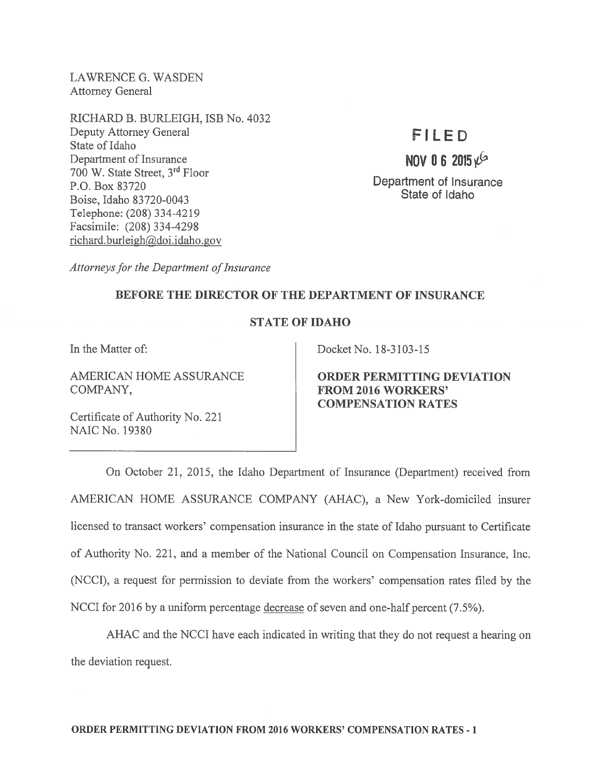LAWRENCE G. WASDEN Attorney General

RICHARD B. BURLEIGH, ISB No. 4032 Deputy Attorney General State of Idaho Department of Insurance <sup>700</sup> W. State Street, 3rd Floor P.O. Box 83720 Boise, Idaho 83720-0043 Telephone: (208) 334-4219 Facsimile: (208) 334-4298 richard.burleigh@doi.idaho.gov

# FILED

## NOV 06 2015 $\frac{1}{2}$

Department of Insurance State of Idaho

Attorneys for the Department of Insurance

### BEFORE THE DIRECTOR OF THE DEPARTMENT OF INSURANCE

### STATE OF IDAHO

COMPANY, FROM 2016 WORKERS'

Certificate of Authority No. 221 NAIC No. 19380

In the Matter of: Docket No. 18-3103-15

AMERICAN HOME ASSURANCE ORDER PERMITTING DEVIATION COMPENSATION RATES

On October 21, 2015, the Idaho Department of Insurance (Department) received from AMERICAN HOME ASSURANCE COMPANY (AHAC), <sup>a</sup> New York-domiciled insurer licensed to transact workers' compensation insurance in the state of Idaho pursuan<sup>t</sup> to Certificate of Authority No. 221, and <sup>a</sup> member of the National Council on Compensation Insurance, Inc. (NCCI), <sup>a</sup> reques<sup>t</sup> for permission to deviate from the workers' compensation rates filed by the NCCI for 2016 by <sup>a</sup> uniform percentage decrease of seven and one-half percen<sup>t</sup> (7.5%).

AHAC and the NCCI have each indicated in writing that they do not reques<sup>t</sup> <sup>a</sup> hearing on the deviation request.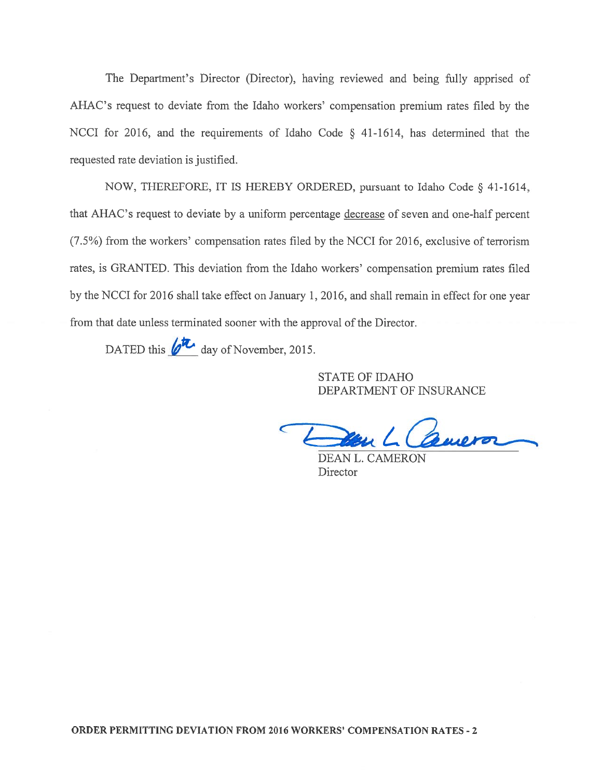The Department's Director (Director), having reviewed and being fully apprised of AHAC's reques<sup>t</sup> to deviate from the Idaho workers' compensation premium rates filed by the NCCI for 2016, and the requirements of Idaho Code § 41-1614, has determined that the requested rate deviation is justified.

NOW, THEREFORE, IT IS HEREBY ORDERED, pursuan<sup>t</sup> to Idaho Code § 41-1614, that AHAC's reques<sup>t</sup> to deviate by <sup>a</sup> uniform percentage decrease of seven and one-half percen<sup>t</sup> (7.5%) from the workers' compensation rates filed by the NCCI for 2016, exclusive of terrorism rates, is GRANTED. This deviation from the Idaho workers' compensation premium rates filed by the NCCI for 2016 shall take effect on January 1, 2016, and shall remain in effect for one year from that date unless terminated sooner with the approval of the Director. The Department's Director (Director), has<br>
is request to deviate from the Idaho worke<br>
for 2016, and the requirements of Idaho<br>
ed rate deviation is justified.<br>
NOW, THEREFORE, IT IS HEREBY OR<br>
IAC's request to deviate by

STATE OF IDAHO DEPARTMENT OF INSURANCE

Comeror

DEAN L. CAMERON **Director**